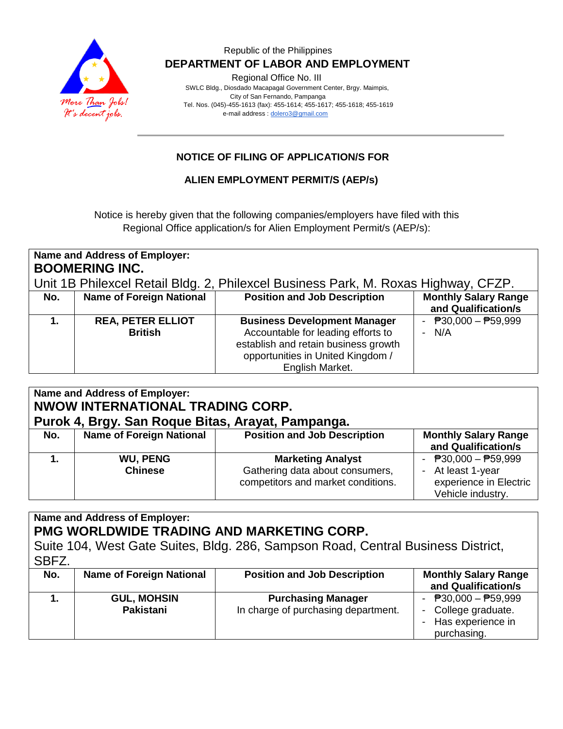

#### Republic of the Philippines  **DEPARTMENT OF LABOR AND EMPLOYMENT**

Regional Office No. III

 SWLC Bldg., Diosdado Macapagal Government Center, Brgy. Maimpis, City of San Fernando, Pampanga Tel. Nos. (045)-455-1613 (fax): 455-1614; 455-1617; 455-1618; 455-1619 e-mail address [: dolero3@gmail.com](mailto:dolero3@gmail.com)

## **NOTICE OF FILING OF APPLICATION/S FOR**

### **ALIEN EMPLOYMENT PERMIT/S (AEP/s)**

Notice is hereby given that the following companies/employers have filed with this Regional Office application/s for Alien Employment Permit/s (AEP/s):

| Name and Address of Employer:<br><b>BOOMERING INC.</b>                             |                                            |                                                                                                                                                                           |                                                    |  |  |  |
|------------------------------------------------------------------------------------|--------------------------------------------|---------------------------------------------------------------------------------------------------------------------------------------------------------------------------|----------------------------------------------------|--|--|--|
| Unit 1B Philexcel Retail Bldg. 2, Philexcel Business Park, M. Roxas Highway, CFZP. |                                            |                                                                                                                                                                           |                                                    |  |  |  |
| No.                                                                                | <b>Name of Foreign National</b>            | <b>Position and Job Description</b>                                                                                                                                       | <b>Monthly Salary Range</b><br>and Qualification/s |  |  |  |
| 1.                                                                                 | <b>REA, PETER ELLIOT</b><br><b>British</b> | <b>Business Development Manager</b><br>Accountable for leading efforts to<br>establish and retain business growth<br>opportunities in United Kingdom /<br>English Market. | - $P30,000 - P59,999$<br>$- N/A$                   |  |  |  |

| Name and Address of Employer:<br>NWOW INTERNATIONAL TRADING CORP.<br>Purok 4, Brgy. San Roque Bitas, Arayat, Pampanga. |                                   |                                                                                                   |                                                                                                                 |  |  |  |
|------------------------------------------------------------------------------------------------------------------------|-----------------------------------|---------------------------------------------------------------------------------------------------|-----------------------------------------------------------------------------------------------------------------|--|--|--|
| No.                                                                                                                    | <b>Name of Foreign National</b>   | <b>Position and Job Description</b>                                                               | <b>Monthly Salary Range</b><br>and Qualification/s                                                              |  |  |  |
|                                                                                                                        | <b>WU, PENG</b><br><b>Chinese</b> | <b>Marketing Analyst</b><br>Gathering data about consumers,<br>competitors and market conditions. | - $\overline{P}30,000 - \overline{P}59,999$<br>- At least 1-year<br>experience in Electric<br>Vehicle industry. |  |  |  |

**Name and Address of Employer: PMG WORLDWIDE TRADING AND MARKETING CORP.** Suite 104, West Gate Suites, Bldg. 286, Sampson Road, Central Business District, SBFZ. **No. Name of Foreign National Position and Job Description | Monthly Salary Range** 

|                                        |                                                                  | and Qualification/s                                                                |
|----------------------------------------|------------------------------------------------------------------|------------------------------------------------------------------------------------|
| <b>GUL, MOHSIN</b><br><b>Pakistani</b> | <b>Purchasing Manager</b><br>In charge of purchasing department. | - $P30,000 - P59,999$<br>- College graduate.<br>- Has experience in<br>purchasing. |